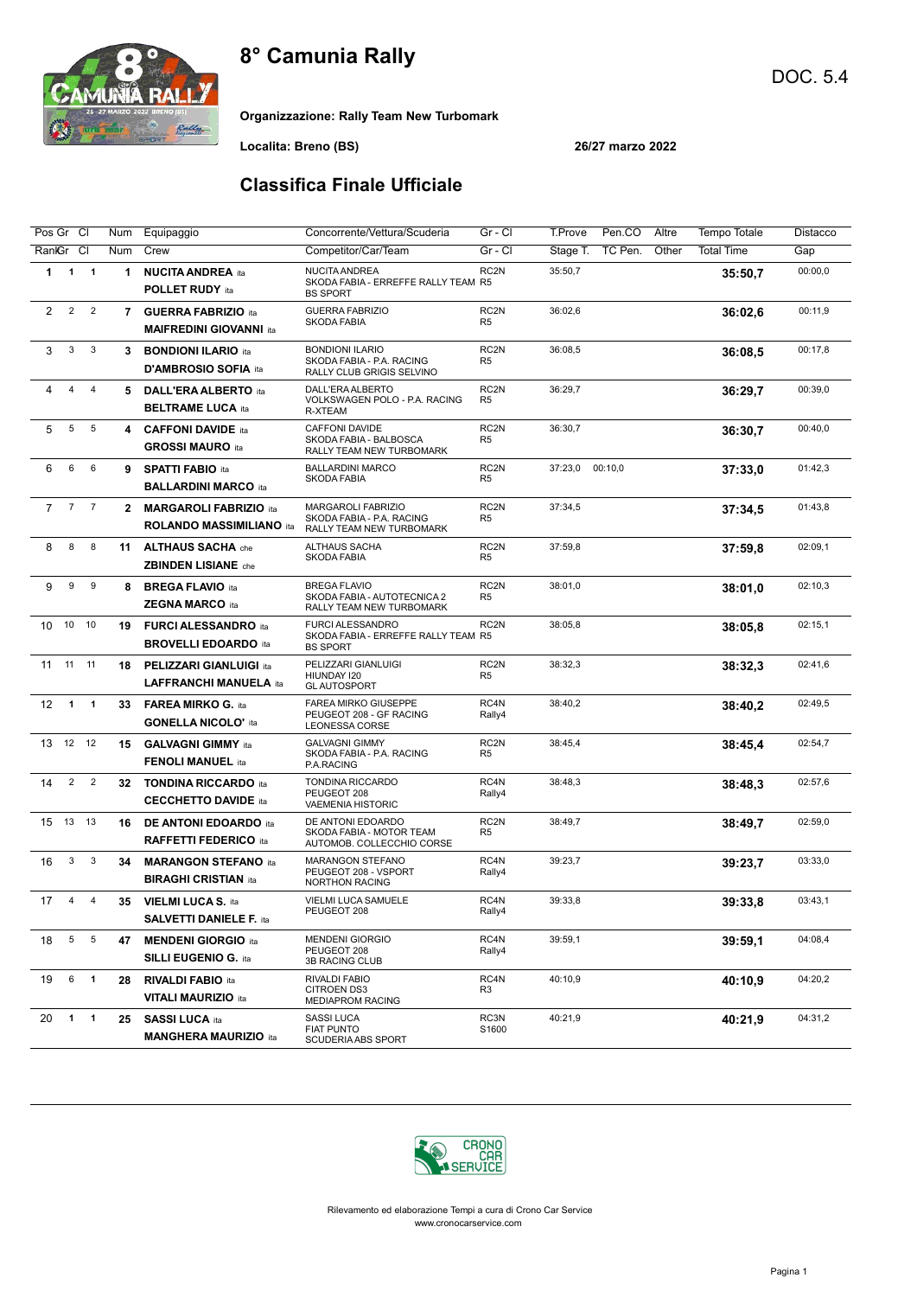

Organizzazione: Rally Team New Turbomark

Localita: Breno (BS) 26/27 marzo 2022

### Classifica Finale Ufficiale

| Pos Gr Cl      |                 |                         | Num            | Equipaggio                                                       | Concorrente/Vettura/Scuderia                                                       | Gr - Cl                            | T.Prove<br>Pen.CO<br>Altre   | Tempo Totale      | Distacco |
|----------------|-----------------|-------------------------|----------------|------------------------------------------------------------------|------------------------------------------------------------------------------------|------------------------------------|------------------------------|-------------------|----------|
| RankGr         |                 | CI                      | Num            | Crew                                                             | Competitor/Car/Team                                                                | Gr - Cl                            | TC Pen.<br>Other<br>Stage T. | <b>Total Time</b> | Gap      |
| 1              | $\mathbf{1}$    | $\overline{\mathbf{1}}$ | $\mathbf 1$    | <b>NUCITA ANDREA ita</b><br><b>POLLET RUDY ita</b>               | <b>NUCITA ANDREA</b><br>SKODA FABIA - ERREFFE RALLY TEAM R5<br><b>BS SPORT</b>     | RC2N                               | 35:50,7                      | 35:50,7           | 00:00,0  |
| 2              | $\overline{2}$  | $\overline{2}$          | $\overline{7}$ | <b>GUERRA FABRIZIO ita</b><br><b>MAIFREDINI GIOVANNI ita</b>     | <b>GUERRA FABRIZIO</b><br><b>SKODA FABIA</b>                                       | RC2N<br>R <sub>5</sub>             | 36:02,6                      | 36:02.6           | 00:11,9  |
| 3              | 3               | $\mathbf{3}$            | 3              | <b>BONDIONI ILARIO ita</b><br>D'AMBROSIO SOFIA ita               | <b>BONDIONI ILARIO</b><br>SKODA FABIA - P.A. RACING<br>RALLY CLUB GRIGIS SELVINO   | RC <sub>2N</sub><br>R <sub>5</sub> | 36:08,5                      | 36:08.5           | 00:17,8  |
| 4              | 4               | $\overline{4}$          | 5              | <b>DALL'ERA ALBERTO</b> ita<br><b>BELTRAME LUCA ita</b>          | DALL'ERA ALBERTO<br>VOLKSWAGEN POLO - P.A. RACING<br>R-XTEAM                       | RC <sub>2N</sub><br>R <sub>5</sub> | 36:29,7                      | 36:29,7           | 00:39,0  |
| 5              | $\,$ 5 $\,$     | 5                       | 4              | <b>CAFFONI DAVIDE ita</b><br><b>GROSSI MAURO</b> ita             | CAFFONI DAVIDE<br>SKODA FABIA - BALBOSCA<br>RALLY TEAM NEW TURBOMARK               | RC <sub>2N</sub><br>R <sub>5</sub> | 36:30,7                      | 36:30,7           | 00:40,0  |
| 6              | 6               | 6                       | 9              | <b>SPATTI FABIO ita</b><br><b>BALLARDINI MARCO ita</b>           | <b>BALLARDINI MARCO</b><br><b>SKODA FABIA</b>                                      | RC <sub>2N</sub><br>R <sub>5</sub> | 00:10,0<br>37:23,0           | 37:33.0           | 01:42,3  |
| $\overline{7}$ | $\overline{7}$  | $\overline{7}$          | $\mathbf{2}$   | <b>MARGAROLI FABRIZIO</b> ita<br><b>ROLANDO MASSIMILIANO ita</b> | <b>MARGAROLI FABRIZIO</b><br>SKODA FABIA - P.A. RACING<br>RALLY TEAM NEW TURBOMARK | RC <sub>2N</sub><br>R <sub>5</sub> | 37:34,5                      | 37:34.5           | 01:43,8  |
| 8              | 8               | 8                       | 11             | <b>ALTHAUS SACHA</b> che<br><b>ZBINDEN LISIANE</b> che           | <b>ALTHAUS SACHA</b><br><b>SKODA FABIA</b>                                         | RC <sub>2N</sub><br>R <sub>5</sub> | 37:59,8                      | 37:59.8           | 02:09.1  |
| 9              | 9               | 9                       | 8              | <b>BREGA FLAVIO ita</b><br><b>ZEGNA MARCO ita</b>                | <b>BREGA FLAVIO</b><br>SKODA FABIA - AUTOTECNICA 2<br>RALLY TEAM NEW TURBOMARK     | RC <sub>2N</sub><br>R <sub>5</sub> | 38:01,0                      | 38:01,0           | 02:10,3  |
| 10<br>10       |                 | 10                      | 19             | <b>FURCI ALESSANDRO</b> ita<br><b>BROVELLI EDOARDO ita</b>       | <b>FURCI ALESSANDRO</b><br>SKODA FABIA - ERREFFE RALLY TEAM R5<br><b>BS SPORT</b>  | RC2N                               | 38:05,8                      | 38:05.8           | 02:15,1  |
| 11<br>11       |                 | 11                      | 18             | <b>PELIZZARI GIANLUIGI ita</b><br><b>LAFFRANCHI MANUELA ita</b>  | PELIZZARI GIANLUIGI<br>HIUNDAY 120<br><b>GLAUTOSPORT</b>                           | RC2N<br>R <sub>5</sub>             | 38:32,3                      | 38:32.3           | 02:41,6  |
| 12             | $\overline{1}$  | $\overline{1}$          | 33             | <b>FAREA MIRKO G. ita</b><br><b>GONELLA NICOLO' ita</b>          | <b>FAREA MIRKO GIUSEPPE</b><br>PEUGEOT 208 - GF RACING<br>LEONESSA CORSE           | RC4N<br>Rally4                     | 38:40,2                      | 38:40,2           | 02:49,5  |
| 13             |                 | 12 12                   | 15             | <b>GALVAGNI GIMMY</b> ita<br><b>FENOLI MANUEL ita</b>            | <b>GALVAGNI GIMMY</b><br>SKODA FABIA - P.A. RACING<br>P.A.RACING                   | RC <sub>2N</sub><br>R <sub>5</sub> | 38:45,4                      | 38:45,4           | 02:54,7  |
| 14             | $\overline{2}$  | $\overline{2}$          | 32             | <b>TONDINA RICCARDO ita</b><br><b>CECCHETTO DAVIDE ita</b>       | TONDINA RICCARDO<br>PEUGEOT 208<br><b>VAEMENIA HISTORIC</b>                        | RC4N<br>Rally4                     | 38:48,3                      | 38:48.3           | 02:57,6  |
| 13<br>15       |                 | 13                      | 16             | <b>DE ANTONI EDOARDO</b> ita<br><b>RAFFETTI FEDERICO ita</b>     | DE ANTONI EDOARDO<br>SKODA FABIA - MOTOR TEAM<br>AUTOMOB. COLLECCHIO CORSE         | RC <sub>2N</sub><br>R <sub>5</sub> | 38:49,7                      | 38:49.7           | 02:59,0  |
| 16             | 3               | 3                       | 34             | <b>MARANGON STEFANO ita</b><br><b>BIRAGHI CRISTIAN ita</b>       | MARANGON STEFANO<br>PEUGEOT 208 - VSPORT<br><b>NORTHON RACING</b>                  | RC4N<br>Rally4                     | 39:23,7                      | 39:23.7           | 03:33,0  |
| 17             | 4               | 4                       | 35             | <b>VIELMI LUCA S. ita</b><br><b>SALVETTI DANIELE F. ita</b>      | VIELMI LUCA SAMUELE<br>PEUGEOT 208                                                 | RC4N<br>Rally4                     | 39:33,8                      | 39:33.8           | 03:43,1  |
| 18             | $5\phantom{.0}$ | $5\phantom{.0}$         | 47             | <b>MENDENI GIORGIO ita</b><br><b>SILLI EUGENIO G. ita</b>        | <b>MENDENI GIORGIO</b><br>PEUGEOT 208<br>3B RACING CLUB                            | RC4N<br>Rally4                     | 39:59,1                      | 39:59,1           | 04:08,4  |
| 19             | 6               | $\overline{\mathbf{1}}$ | 28             | <b>RIVALDI FABIO ita</b><br><b>VITALI MAURIZIO ita</b>           | RIVALDI FABIO<br><b>CITROEN DS3</b><br><b>MEDIAPROM RACING</b>                     | RC4N<br>R3                         | 40:10,9                      | 40:10,9           | 04:20,2  |
| 20             | $\overline{1}$  | $\overline{\mathbf{1}}$ | 25             | <b>SASSI LUCA ita</b><br><b>MANGHERA MAURIZIO ita</b>            | SASSI LUCA<br><b>FIAT PUNTO</b><br>SCUDERIA ABS SPORT                              | RC3N<br>S1600                      | 40:21,9                      | 40:21,9           | 04:31,2  |

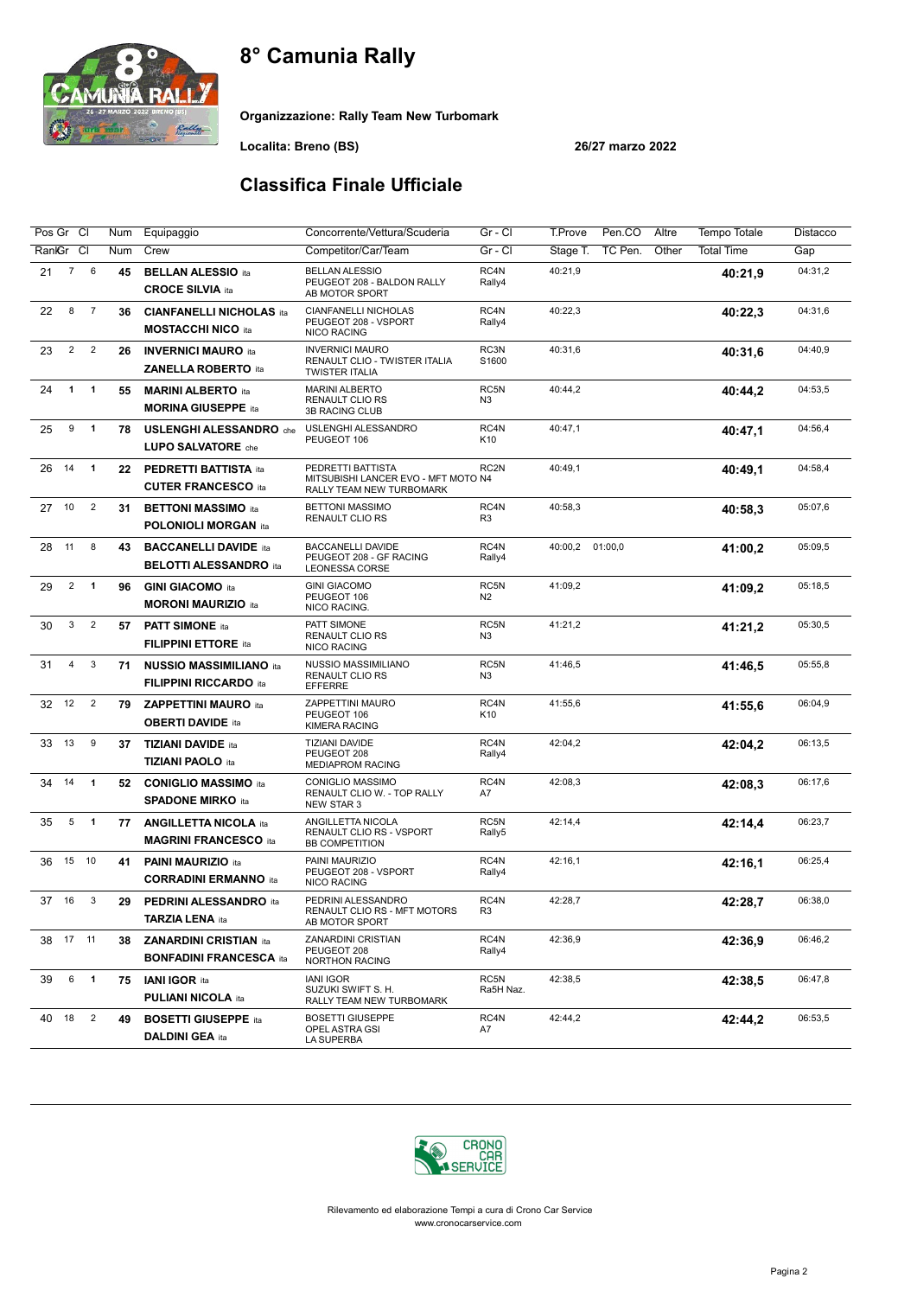

Organizzazione: Rally Team New Turbomark

Localita: Breno (BS) 26/27 marzo 2022

### Classifica Finale Ufficiale

| Pos Gr Cl |                |                         | Num | Equipaggio                                                      | Concorrente/Vettura/Scuderia                                                         | Gr - Cl                | T.Prove<br>Pen.CO<br>Altre   | <b>Tempo Totale</b> | Distacco |
|-----------|----------------|-------------------------|-----|-----------------------------------------------------------------|--------------------------------------------------------------------------------------|------------------------|------------------------------|---------------------|----------|
| RankGr    |                | CI                      | Num | Crew                                                            | Competitor/Car/Team                                                                  | Gr - Cl                | TC Pen.<br>Other<br>Stage T. | <b>Total Time</b>   | Gap      |
| 21        | $\overline{7}$ | 6                       | 45  | <b>BELLAN ALESSIO ita</b><br><b>CROCE SILVIA ita</b>            | <b>BELLAN ALESSIO</b><br>PEUGEOT 208 - BALDON RALLY<br>AB MOTOR SPORT                | RC4N<br>Rally4         | 40:21,9                      | 40:21,9             | 04:31,2  |
| 22        | 8              | $\overline{7}$          | 36  | <b>CIANFANELLI NICHOLAS ita</b><br><b>MOSTACCHI NICO ita</b>    | <b>CIANFANELLI NICHOLAS</b><br>PEUGEOT 208 - VSPORT<br>NICO RACING                   | RC4N<br>Rally4         | 40:22,3                      | 40:22,3             | 04:31,6  |
| 23        | $\overline{2}$ | $\overline{2}$          | 26  | <b>INVERNICI MAURO ita</b><br><b>ZANELLA ROBERTO ita</b>        | <b>INVERNICI MAURO</b><br>RENAULT CLIO - TWISTER ITALIA<br><b>TWISTER ITALIA</b>     | RC3N<br>S1600          | 40:31,6                      | 40:31,6             | 04:40,9  |
| 24        | $\mathbf{1}$   | $\overline{1}$          | 55  | <b>MARINI ALBERTO</b> ita<br><b>MORINA GIUSEPPE ita</b>         | <b>MARINI ALBERTO</b><br><b>RENAULT CLIO RS</b><br>3B RACING CLUB                    | RC5N<br>N <sub>3</sub> | 40:44,2                      | 40:44,2             | 04:53,5  |
| 25        | 9              | $\mathbf{1}$            | 78  | <b>USLENGHI ALESSANDRO</b> che<br>LUPO SALVATORE che            | USLENGHI ALESSANDRO<br>PEUGEOT 106                                                   | RC4N<br>K10            | 40:47.1                      | 40:47.1             | 04:56.4  |
| 26        | 14             | $\overline{1}$          | 22  | <b>PEDRETTI BATTISTA ita</b><br><b>CUTER FRANCESCO ita</b>      | PEDRETTI BATTISTA<br>MITSUBISHI LANCER EVO - MFT MOTO N4<br>RALLY TEAM NEW TURBOMARK | RC <sub>2N</sub>       | 40:49,1                      | 40:49,1             | 04:58,4  |
| 27        | 10             | $\overline{2}$          | 31  | <b>BETTONI MASSIMO</b> ita<br><b>POLONIOLI MORGAN ita</b>       | <b>BETTONI MASSIMO</b><br><b>RENAULT CLIO RS</b>                                     | RC4N<br>R <sub>3</sub> | 40:58,3                      | 40:58,3             | 05:07,6  |
| 28        | 11             | 8                       | 43  | <b>BACCANELLI DAVIDE ita</b><br><b>BELOTTI ALESSANDRO</b> ita   | <b>BACCANELLI DAVIDE</b><br>PEUGEOT 208 - GF RACING<br>LEONESSA CORSE                | RC4N<br>Rally4         | 40:00,2<br>01:00,0           | 41:00,2             | 05:09.5  |
| 29        | $\overline{2}$ | $\overline{1}$          | 96  | <b>GINI GIACOMO ita</b><br><b>MORONI MAURIZIO ita</b>           | <b>GINI GIACOMO</b><br>PEUGEOT 106<br>NICO RACING.                                   | RC5N<br>N <sub>2</sub> | 41:09,2                      | 41:09,2             | 05:18,5  |
| 30        | 3              | $\overline{2}$          | 57  | <b>PATT SIMONE</b> ita<br><b>FILIPPINI ETTORE ita</b>           | PATT SIMONE<br><b>RENAULT CLIO RS</b><br><b>NICO RACING</b>                          | RC5N<br>N <sub>3</sub> | 41:21,2                      | 41:21,2             | 05:30,5  |
| 31        | 4              | 3                       | 71  | <b>NUSSIO MASSIMILIANO ita</b><br><b>FILIPPINI RICCARDO ita</b> | NUSSIO MASSIMILIANO<br><b>RENAULT CLIO RS</b><br><b>EFFERRE</b>                      | RC5N<br>N <sub>3</sub> | 41:46,5                      | 41:46,5             | 05:55,8  |
| 32        | 12             | $\overline{2}$          | 79  | <b>ZAPPETTINI MAURO ita</b><br><b>OBERTI DAVIDE ita</b>         | ZAPPETTINI MAURO<br>PEUGEOT 106<br><b>KIMERA RACING</b>                              | RC4N<br>K10            | 41:55,6                      | 41:55,6             | 06:04,9  |
| 33        | 13             | 9                       | 37  | <b>TIZIANI DAVIDE ita</b><br><b>TIZIANI PAOLO ita</b>           | TIZIANI DAVIDE<br>PEUGEOT 208<br><b>MEDIAPROM RACING</b>                             | RC4N<br>Rally4         | 42:04.2                      | 42:04,2             | 06:13,5  |
| 34        | 14             | $\overline{1}$          | 52  | <b>CONIGLIO MASSIMO ita</b><br><b>SPADONE MIRKO</b> ita         | CONIGLIO MASSIMO<br>RENAULT CLIO W. - TOP RALLY<br>NEW STAR 3                        | RC4N<br>A7             | 42:08.3                      | 42:08.3             | 06:17,6  |
| 35        | 5              | $\overline{\mathbf{1}}$ | 77  | <b>ANGILLETTA NICOLA ita</b><br><b>MAGRINI FRANCESCO ita</b>    | ANGILLETTA NICOLA<br><b>RENAULT CLIO RS - VSPORT</b><br><b>BB COMPETITION</b>        | RC5N<br>Rally5         | 42:14,4                      | 42:14,4             | 06:23,7  |
| 36        |                | 15 10                   | 41  | <b>PAINI MAURIZIO ita</b><br><b>CORRADINI ERMANNO ita</b>       | PAINI MAURIZIO<br>PEUGEOT 208 - VSPORT<br>NICO RACING                                | RC4N<br>Rally4         | 42:16,1                      | 42:16,1             | 06:25,4  |
| 37 16     |                | 3                       | 29  | <b>PEDRINI ALESSANDRO</b> ita<br><b>TARZIA LENA</b> ita         | PEDRINI ALESSANDRO<br>RENAULT CLIO RS - MFT MOTORS<br>AB MOTOR SPORT                 | RC4N<br>R3             | 42:28,7                      | 42:28,7             | 06:38,0  |
| 38 17 11  |                |                         | 38  | <b>ZANARDINI CRISTIAN ita</b><br><b>BONFADINI FRANCESCA ita</b> | ZANARDINI CRISTIAN<br>PEUGEOT 208<br><b>NORTHON RACING</b>                           | RC4N<br>Rally4         | 42:36,9                      | 42:36,9             | 06:46,2  |
| 39        | 6              | $\overline{\mathbf{1}}$ | 75  | <b>IANI IGOR ita</b><br><b>PULIANI NICOLA ita</b>               | <b>IANI IGOR</b><br>SUZUKI SWIFT S. H.<br>RALLY TEAM NEW TURBOMARK                   | RC5N<br>Ra5H Naz.      | 42:38,5                      | 42:38,5             | 06:47,8  |
| 40        | 18             | $\overline{2}$          | 49  | <b>BOSETTI GIUSEPPE ita</b><br><b>DALDINI GEA ita</b>           | <b>BOSETTI GIUSEPPE</b><br>OPEL ASTRA GSI<br>LA SUPERBA                              | RC4N<br>A7             | 42:44,2                      | 42:44,2             | 06:53,5  |

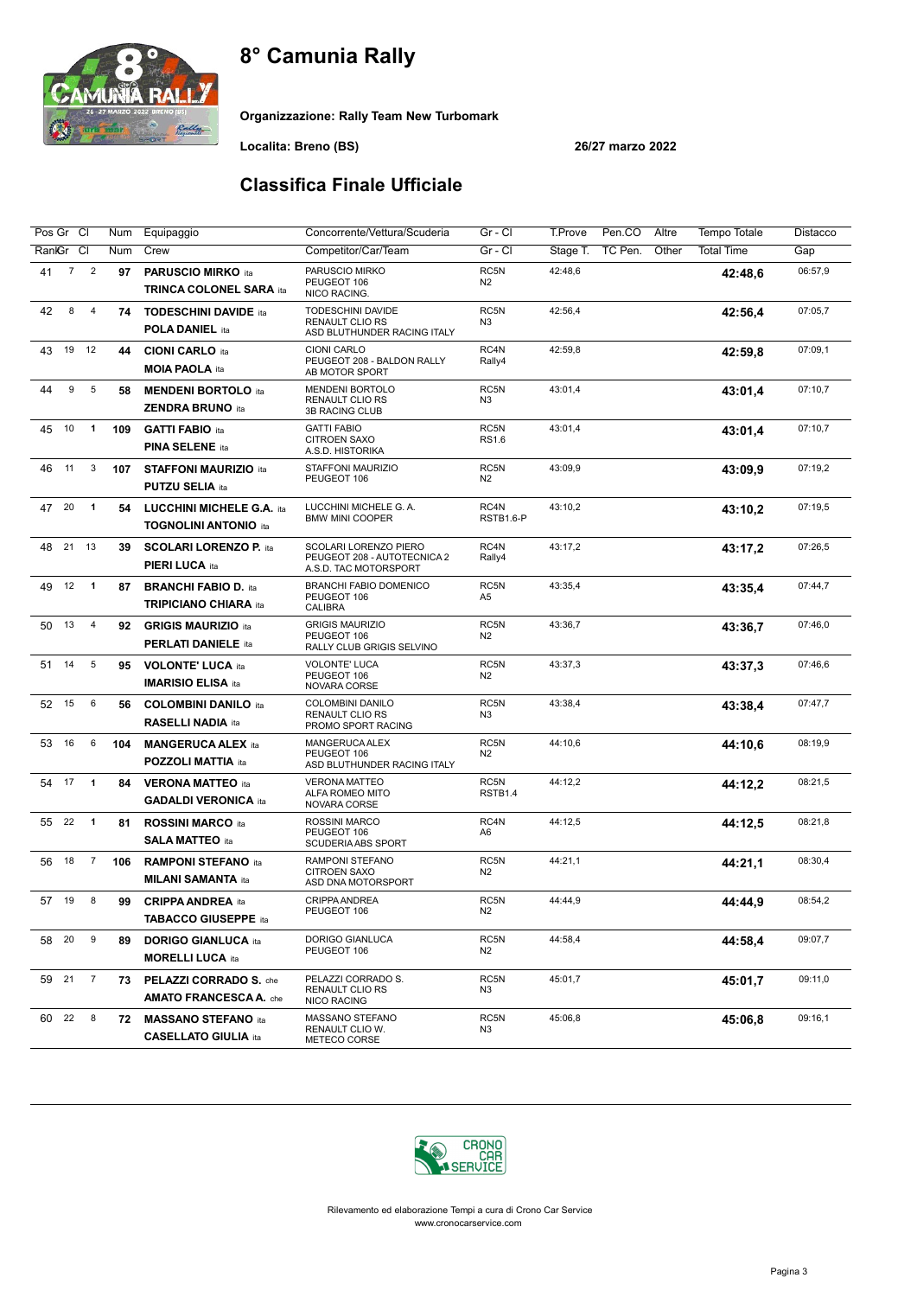

Organizzazione: Rally Team New Turbomark

Localita: Breno (BS) 26/27 marzo 2022

### Classifica Finale Ufficiale

| Pos Gr Cl                              | Num | Equipaggio                                                  | Concorrente/Vettura/Scuderia                                                  | Gr - Cl                | T.Prove<br>Pen.CO   | Altre | Tempo Totale      | Distacco |
|----------------------------------------|-----|-------------------------------------------------------------|-------------------------------------------------------------------------------|------------------------|---------------------|-------|-------------------|----------|
| RankGr Cl                              | Num | Crew                                                        | Competitor/Car/Team                                                           | Gr - Cl                | TC Pen.<br>Stage T. | Other | <b>Total Time</b> | Gap      |
| $\overline{2}$<br>$\overline{7}$<br>41 | 97  | <b>PARUSCIO MIRKO ita</b><br><b>TRINCA COLONEL SARA ita</b> | PARUSCIO MIRKO<br>PEUGEOT 106<br>NICO RACING.                                 | RC5N<br>N <sub>2</sub> | 42:48,6             |       | 42:48.6           | 06:57,9  |
| 42<br>8<br>$\overline{4}$              | 74  | <b>TODESCHINI DAVIDE ita</b><br><b>POLA DANIEL ita</b>      | TODESCHINI DAVIDE<br><b>RENAULT CLIO RS</b><br>ASD BLUTHUNDER RACING ITALY    | RC5N<br>N <sub>3</sub> | 42:56,4             |       | 42:56,4           | 07:05,7  |
| 19<br>12<br>43                         | 44  | <b>CIONI CARLO ita</b><br><b>MOIA PAOLA ita</b>             | <b>CIONI CARLO</b><br>PEUGEOT 208 - BALDON RALLY<br>AB MOTOR SPORT            | RC4N<br>Rally4         | 42:59.8             |       | 42:59,8           | 07:09,1  |
| 9<br>5<br>44                           | 58  | <b>MENDENI BORTOLO</b> ita<br><b>ZENDRA BRUNO ita</b>       | <b>MENDENI BORTOLO</b><br>RENAULT CLIO RS<br><b>3B RACING CLUB</b>            | RC5N<br>N <sub>3</sub> | 43:01,4             |       | 43:01.4           | 07:10,7  |
| 10<br>$\mathbf{1}$<br>45               | 109 | <b>GATTI FABIO ita</b><br><b>PINA SELENE ita</b>            | <b>GATTI FABIO</b><br>CITROEN SAXO<br>A.S.D. HISTORIKA                        | RC5N<br><b>RS1.6</b>   | 43:01,4             |       | 43:01,4           | 07:10,7  |
| 3<br>46<br>11                          | 107 | <b>STAFFONI MAURIZIO ita</b><br><b>PUTZU SELIA ita</b>      | STAFFONI MAURIZIO<br>PEUGEOT 106                                              | RC5N<br>N <sub>2</sub> | 43:09,9             |       | 43:09.9           | 07:19,2  |
| 20<br>$\mathbf{1}$<br>47               | 54  | LUCCHINI MICHELE G.A. ita<br><b>TOGNOLINI ANTONIO ita</b>   | LUCCHINI MICHELE G. A.<br><b>BMW MINI COOPER</b>                              | RC4N<br>RSTB1.6-P      | 43:10,2             |       | 43:10,2           | 07:19,5  |
| 21<br>13<br>48                         | 39  | <b>SCOLARI LORENZO P. ita</b><br>PIERI LUCA ita             | SCOLARI LORENZO PIERO<br>PEUGEOT 208 - AUTOTECNICA 2<br>A.S.D. TAC MOTORSPORT | RC4N<br>Rally4         | 43:17,2             |       | 43:17.2           | 07:26,5  |
| 12<br>$\mathbf{1}$<br>49               | 87  | <b>BRANCHI FABIO D. ita</b><br><b>TRIPICIANO CHIARA</b> ita | <b>BRANCHI FABIO DOMENICO</b><br>PEUGEOT 106<br><b>CALIBRA</b>                | RC5N<br>A <sub>5</sub> | 43:35,4             |       | 43:35,4           | 07:44,7  |
| 13<br>$\overline{4}$<br>50             | 92  | <b>GRIGIS MAURIZIO ita</b><br><b>PERLATI DANIELE ita</b>    | <b>GRIGIS MAURIZIO</b><br>PEUGEOT 106<br>RALLY CLUB GRIGIS SELVINO            | RC5N<br>N <sub>2</sub> | 43:36,7             |       | 43:36,7           | 07:46,0  |
| $\,$ 5 $\,$<br>14<br>51                | 95  | <b>VOLONTE' LUCA ita</b><br><b>IMARISIO ELISA ita</b>       | <b>VOLONTE' LUCA</b><br>PEUGEOT 106<br>NOVARA CORSE                           | RC5N<br>N <sub>2</sub> | 43:37,3             |       | 43:37.3           | 07:46,6  |
| 15<br>6<br>52                          | 56  | <b>COLOMBINI DANILO ita</b><br><b>RASELLI NADIA ita</b>     | COLOMBINI DANILO<br><b>RENAULT CLIO RS</b><br>PROMO SPORT RACING              | RC5N<br>N <sub>3</sub> | 43:38,4             |       | 43:38,4           | 07:47,7  |
| 16<br>6<br>53                          | 104 | <b>MANGERUCA ALEX ita</b><br><b>POZZOLI MATTIA ita</b>      | MANGERUCA ALEX<br>PEUGEOT 106<br>ASD BLUTHUNDER RACING ITALY                  | RC5N<br>N <sub>2</sub> | 44:10,6             |       | 44:10.6           | 08:19,9  |
| 17<br>$\mathbf{1}$<br>54               | 84  | <b>VERONA MATTEO ita</b><br><b>GADALDI VERONICA ita</b>     | <b>VERONA MATTEO</b><br>ALFA ROMEO MITO<br>NOVARA CORSE                       | RC5N<br>RSTB1.4        | 44:12,2             |       | 44:12,2           | 08:21,5  |
| 22<br>$\mathbf{1}$<br>55               | 81  | <b>ROSSINI MARCO ita</b><br><b>SALA MATTEO</b> ita          | <b>ROSSINI MARCO</b><br>PEUGEOT 106<br><b>SCUDERIA ABS SPORT</b>              | RC4N<br>A <sub>6</sub> | 44:12.5             |       | 44:12.5           | 08:21,8  |
| 18<br>56<br>$\overline{7}$             | 106 | <b>RAMPONI STEFANO ita</b><br><b>MILANI SAMANTA ita</b>     | RAMPONI STEFANO<br><b>CITROEN SAXO</b><br>ASD DNA MOTORSPORT                  | RC5N<br>N <sub>2</sub> | 44:21.1             |       | 44:21,1           | 08:30,4  |
| 19<br>8<br>57                          | 99  | <b>CRIPPA ANDREA</b> ita<br><b>TABACCO GIUSEPPE ita</b>     | CRIPPA ANDREA<br>PEUGEOT 106                                                  | RC5N<br>N <sub>2</sub> | 44:44,9             |       | 44:44,9           | 08:54,2  |
| 9<br>58 20                             | 89  | <b>DORIGO GIANLUCA ita</b><br><b>MORELLI LUCA ita</b>       | DORIGO GIANLUCA<br>PEUGEOT 106                                                | RC5N<br>N2             | 44:58,4             |       | 44:58,4           | 09:07,7  |
| 59 21<br>$\overline{7}$                | 73  | PELAZZI CORRADO S. che<br><b>AMATO FRANCESCA A.</b> che     | PELAZZI CORRADO S.<br><b>RENAULT CLIO RS</b><br>NICO RACING                   | RC5N<br>N3             | 45:01,7             |       | 45:01,7           | 09:11,0  |
| 8<br>22<br>60                          | 72  | <b>MASSANO STEFANO ita</b><br><b>CASELLATO GIULIA ita</b>   | MASSANO STEFANO<br>RENAULT CLIO W.<br>METECO CORSE                            | RC5N<br>N3             | 45:06,8             |       | 45:06,8           | 09:16,1  |

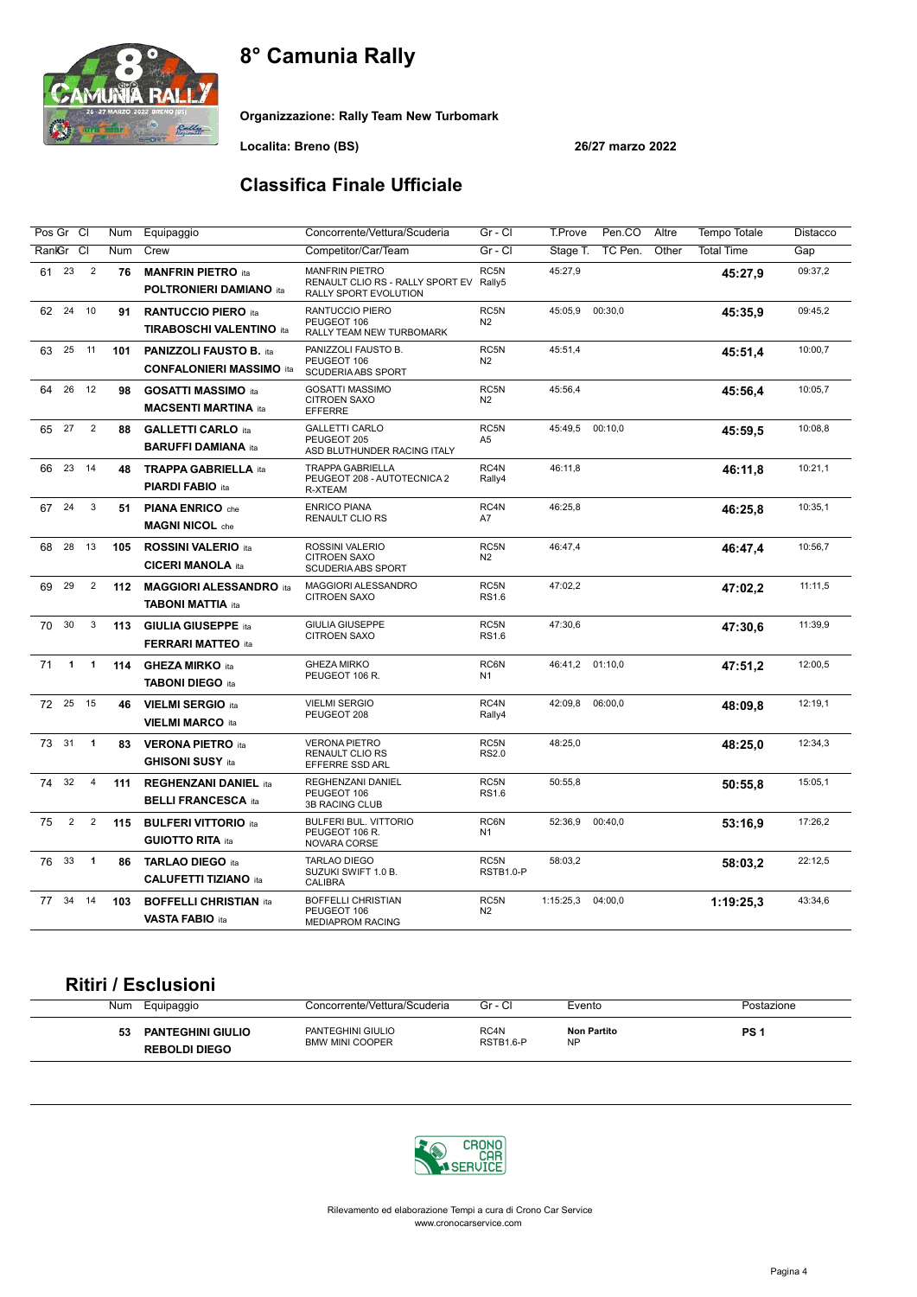

Organizzazione: Rally Team New Turbomark

Localita: Breno (BS) 26/27 marzo 2022

### Classifica Finale Ufficiale

| Pos Gr Cl |                |                | Num | Equipaggio                                                        | Concorrente/Vettura/Scuderia                                                              | Gr - Cl                          | T.Prove<br>Pen.CO<br>Altre   | Tempo Totale      | Distacco |
|-----------|----------------|----------------|-----|-------------------------------------------------------------------|-------------------------------------------------------------------------------------------|----------------------------------|------------------------------|-------------------|----------|
| RankGr    |                | <sub>Cl</sub>  | Num | Crew                                                              | Competitor/Car/Team                                                                       | Gr - Cl                          | TC Pen.<br>Other<br>Stage T. | <b>Total Time</b> | Gap      |
| 23<br>61  |                | $\overline{2}$ | 76  | <b>MANFRIN PIETRO</b> ita<br><b>POLTRONIERI DAMIANO ita</b>       | <b>MANFRIN PIETRO</b><br>RENAULT CLIO RS - RALLY SPORT EV Rally5<br>RALLY SPORT EVOLUTION | RC5N                             | 45:27,9                      | 45:27.9           | 09:37,2  |
| 24<br>62  |                | 10             | 91  | <b>RANTUCCIO PIERO ita</b><br><b>TIRABOSCHI VALENTINO ita</b>     | RANTUCCIO PIERO<br>PEUGEOT 106<br>RALLY TEAM NEW TURBOMARK                                | RC5N<br>N2                       | 45:05,9<br>00:30,0           | 45:35.9           | 09:45,2  |
| 63        | 25             | 11             | 101 | <b>PANIZZOLI FAUSTO B. ita</b><br><b>CONFALONIERI MASSIMO ita</b> | PANIZZOLI FAUSTO B.<br>PEUGEOT 106<br>SCUDERIA ABS SPORT                                  | RC5N<br>N <sub>2</sub>           | 45:51,4                      | 45:51.4           | 10:00,7  |
| 64        |                | 26 12          | 98  | <b>GOSATTI MASSIMO ita</b><br><b>MACSENTI MARTINA ita</b>         | <b>GOSATTI MASSIMO</b><br><b>CITROEN SAXO</b><br>EFFERRE                                  | RC5N<br>N <sub>2</sub>           | 45:56,4                      | 45:56.4           | 10:05,7  |
| 27<br>65  |                | $\overline{2}$ | 88  | <b>GALLETTI CARLO ita</b><br><b>BARUFFI DAMIANA ita</b>           | <b>GALLETTI CARLO</b><br>PEUGEOT 205<br>ASD BLUTHUNDER RACING ITALY                       | RC5N<br>A <sub>5</sub>           | 00:10,0<br>45:49,5           | 45:59.5           | 10:08.8  |
| 66        | 23             | 14             | 48  | <b>TRAPPA GABRIELLA ita</b><br><b>PIARDI FABIO ita</b>            | <b>TRAPPA GABRIELLA</b><br>PEUGEOT 208 - AUTOTECNICA 2<br>R-XTEAM                         | RC4N<br>Rally4                   | 46:11,8                      | 46:11,8           | 10:21,1  |
| 67        | 24             | 3              | 51  | <b>PIANA ENRICO</b> che<br><b>MAGNI NICOL</b> che                 | <b>ENRICO PIANA</b><br>RENAULT CLIO RS                                                    | RC4N<br>A7                       | 46:25,8                      | 46:25,8           | 10:35,1  |
| 68        | 28             | 13             | 105 | <b>ROSSINI VALERIO ita</b><br><b>CICERI MANOLA ita</b>            | ROSSINI VALERIO<br><b>CITROEN SAXO</b><br><b>SCUDERIA ABS SPORT</b>                       | RC5N<br>N2                       | 46:47,4                      | 46:47,4           | 10:56,7  |
| 69        | 29             | $\overline{2}$ | 112 | <b>MAGGIORI ALESSANDRO</b> ita<br><b>TABONI MATTIA ita</b>        | MAGGIORI ALESSANDRO<br><b>CITROEN SAXO</b>                                                | RC5N<br><b>RS1.6</b>             | 47:02,2                      | 47:02,2           | 11:11,5  |
| 70        | 30             | 3              | 113 | <b>GIULIA GIUSEPPE ita</b><br><b>FERRARI MATTEO ita</b>           | <b>GIULIA GIUSEPPE</b><br>CITROEN SAXO                                                    | RC <sub>5N</sub><br><b>RS1.6</b> | 47:30.6                      | 47:30.6           | 11:39,9  |
| 71        | $\mathbf{1}$   | $\overline{1}$ | 114 | <b>GHEZA MIRKO ita</b><br><b>TABONI DIEGO ita</b>                 | <b>GHEZA MIRKO</b><br>PEUGEOT 106 R.                                                      | RC6N<br>N <sub>1</sub>           | 01:10,0<br>46:41,2           | 47:51,2           | 12:00,5  |
| 72        | 25             | 15             | 46  | <b>VIELMI SERGIO ita</b><br><b>VIELMI MARCO ita</b>               | <b>VIELMI SERGIO</b><br>PEUGEOT 208                                                       | RC4N<br>Rally4                   | 06:00,0<br>42:09,8           | 48:09.8           | 12:19,1  |
| 31<br>73  |                | $\overline{1}$ | 83  | <b>VERONA PIETRO</b> ita<br><b>GHISONI SUSY ita</b>               | <b>VERONA PIETRO</b><br><b>RENAULT CLIO RS</b><br><b>EFFERRE SSD ARL</b>                  | RC5N<br><b>RS2.0</b>             | 48:25,0                      | 48:25,0           | 12:34,3  |
| 74        | 32             | $\overline{4}$ | 111 | <b>REGHENZANI DANIEL ita</b><br><b>BELLI FRANCESCA ita</b>        | REGHENZANI DANIEL<br>PEUGEOT 106<br>3B RACING CLUB                                        | RC5N<br><b>RS1.6</b>             | 50:55,8                      | 50:55.8           | 15:05,1  |
| 75        | $\overline{2}$ | $\sqrt{2}$     | 115 | <b>BULFERI VITTORIO ita</b><br><b>GUIOTTO RITA ita</b>            | <b>BULFERI BUL. VITTORIO</b><br>PEUGEOT 106 R.<br>NOVARA CORSE                            | RC6N<br>N <sub>1</sub>           | 00:40,0<br>52:36,9           | 53:16,9           | 17:26,2  |
| 76        | 33             | $\mathbf{1}$   | 86  | <b>TARLAO DIEGO ita</b><br><b>CALUFETTI TIZIANO ita</b>           | <b>TARLAO DIEGO</b><br>SUZUKI SWIFT 1.0 B.<br>CALIBRA                                     | RC5N<br>RSTB1.0-P                | 58:03,2                      | 58:03.2           | 22:12,5  |
| 34<br>77  |                | 14             | 103 | <b>BOFFELLI CHRISTIAN ita</b><br><b>VASTA FABIO ita</b>           | <b>BOFFELLI CHRISTIAN</b><br>PEUGEOT 106<br><b>MEDIAPROM RACING</b>                       | RC5N<br>N2                       | 04:00,0<br>1:15:25,3         | 1:19:25.3         | 43:34.6  |

#### Ritiri / Esclusioni

| Num | Equipaggio                                       | Concorrente/Vettura/Scuderia                | Gr - Cl           | Evento                   | Postazione |
|-----|--------------------------------------------------|---------------------------------------------|-------------------|--------------------------|------------|
| 53  | <b>PANTEGHINI GIULIO</b><br><b>REBOLDI DIEGO</b> | PANTEGHINI GIULIO<br><b>BMW MINI COOPER</b> | RC4N<br>RSTB1.6-P | Non Partito<br><b>NP</b> | PS         |